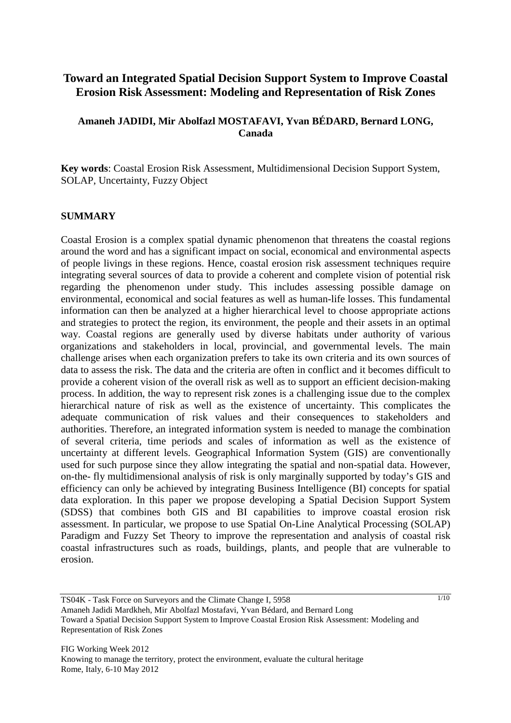# **Toward an Integrated Spatial Decision Support System to Improve Coastal Erosion Risk Assessment: Modeling and Representation of Risk Zones**

## **Amaneh JADIDI, Mir Abolfazl MOSTAFAVI, Yvan BÉDARD, Bernard LONG, Canada**

**Key words**: Coastal Erosion Risk Assessment, Multidimensional Decision Support System, SOLAP, Uncertainty, Fuzzy Object

#### **SUMMARY**

Coastal Erosion is a complex spatial dynamic phenomenon that threatens the coastal regions around the word and has a significant impact on social, economical and environmental aspects of people livings in these regions. Hence, coastal erosion risk assessment techniques require integrating several sources of data to provide a coherent and complete vision of potential risk regarding the phenomenon under study. This includes assessing possible damage on environmental, economical and social features as well as human-life losses. This fundamental information can then be analyzed at a higher hierarchical level to choose appropriate actions and strategies to protect the region, its environment, the people and their assets in an optimal way. Coastal regions are generally used by diverse habitats under authority of various organizations and stakeholders in local, provincial, and governmental levels. The main challenge arises when each organization prefers to take its own criteria and its own sources of data to assess the risk. The data and the criteria are often in conflict and it becomes difficult to provide a coherent vision of the overall risk as well as to support an efficient decision-making process. In addition, the way to represent risk zones is a challenging issue due to the complex hierarchical nature of risk as well as the existence of uncertainty. This complicates the adequate communication of risk values and their consequences to stakeholders and authorities. Therefore, an integrated information system is needed to manage the combination of several criteria, time periods and scales of information as well as the existence of uncertainty at different levels. Geographical Information System (GIS) are conventionally used for such purpose since they allow integrating the spatial and non-spatial data. However, on-the- fly multidimensional analysis of risk is only marginally supported by today's GIS and efficiency can only be achieved by integrating Business Intelligence (BI) concepts for spatial data exploration. In this paper we propose developing a Spatial Decision Support System (SDSS) that combines both GIS and BI capabilities to improve coastal erosion risk assessment. In particular, we propose to use Spatial On-Line Analytical Processing (SOLAP) Paradigm and Fuzzy Set Theory to improve the representation and analysis of coastal risk coastal infrastructures such as roads, buildings, plants, and people that are vulnerable to erosion.

TS04K - Task Force on Surveyors and the Climate Change I, 5958 Amaneh Jadidi Mardkheh, Mir Abolfazl Mostafavi, Yvan Bédard, and Bernard Long Toward a Spatial Decision Support System to Improve Coastal Erosion Risk Assessment: Modeling and Representation of Risk Zones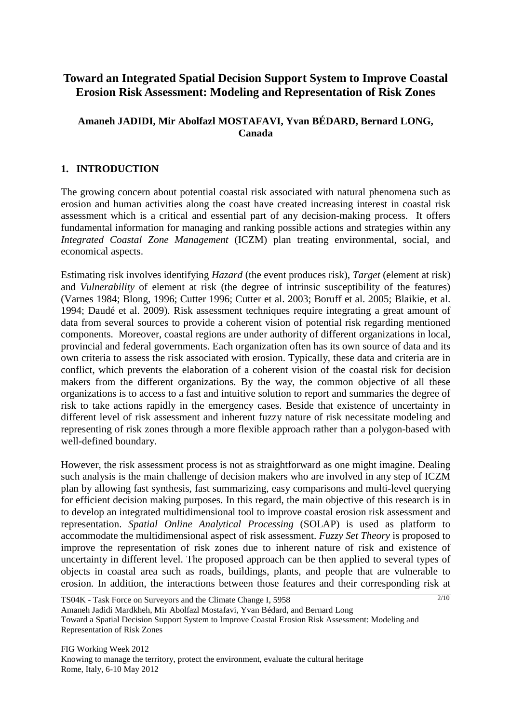# **Toward an Integrated Spatial Decision Support System to Improve Coastal Erosion Risk Assessment: Modeling and Representation of Risk Zones**

## **Amaneh JADIDI, Mir Abolfazl MOSTAFAVI, Yvan BÉDARD, Bernard LONG, Canada**

## **1. INTRODUCTION**

The growing concern about potential coastal risk associated with natural phenomena such as erosion and human activities along the coast have created increasing interest in coastal risk assessment which is a critical and essential part of any decision-making process. It offers fundamental information for managing and ranking possible actions and strategies within any *Integrated Coastal Zone Management* (ICZM) plan treating environmental, social, and economical aspects.

Estimating risk involves identifying *Hazard* (the event produces risk), *Target* (element at risk) and *Vulnerability* of element at risk (the degree of intrinsic susceptibility of the features) (Varnes 1984; Blong, 1996; Cutter 1996; Cutter et al. 2003; Boruff et al. 2005; Blaikie, et al. 1994; Daudé et al. 2009). Risk assessment techniques require integrating a great amount of data from several sources to provide a coherent vision of potential risk regarding mentioned components. Moreover, coastal regions are under authority of different organizations in local, provincial and federal governments. Each organization often has its own source of data and its own criteria to assess the risk associated with erosion. Typically, these data and criteria are in conflict, which prevents the elaboration of a coherent vision of the coastal risk for decision makers from the different organizations. By the way, the common objective of all these organizations is to access to a fast and intuitive solution to report and summaries the degree of risk to take actions rapidly in the emergency cases. Beside that existence of uncertainty in different level of risk assessment and inherent fuzzy nature of risk necessitate modeling and representing of risk zones through a more flexible approach rather than a polygon-based with well-defined boundary.

However, the risk assessment process is not as straightforward as one might imagine. Dealing such analysis is the main challenge of decision makers who are involved in any step of ICZM plan by allowing fast synthesis, fast summarizing, easy comparisons and multi-level querying for efficient decision making purposes. In this regard, the main objective of this research is in to develop an integrated multidimensional tool to improve coastal erosion risk assessment and representation. *Spatial Online Analytical Processing* (SOLAP) is used as platform to accommodate the multidimensional aspect of risk assessment. *Fuzzy Set Theory* is proposed to improve the representation of risk zones due to inherent nature of risk and existence of uncertainty in different level. The proposed approach can be then applied to several types of objects in coastal area such as roads, buildings, plants, and people that are vulnerable to erosion. In addition, the interactions between those features and their corresponding risk at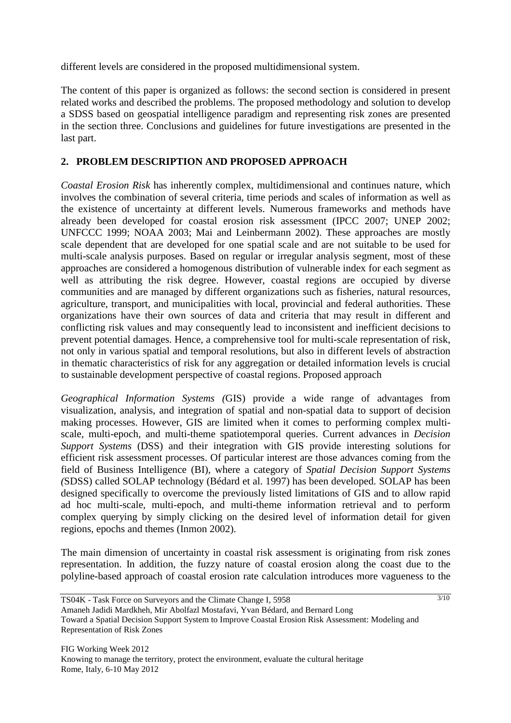different levels are considered in the proposed multidimensional system.

The content of this paper is organized as follows: the second section is considered in present related works and described the problems. The proposed methodology and solution to develop a SDSS based on geospatial intelligence paradigm and representing risk zones are presented in the section three. Conclusions and guidelines for future investigations are presented in the last part.

## **2. PROBLEM DESCRIPTION AND PROPOSED APPROACH**

*Coastal Erosion Risk* has inherently complex, multidimensional and continues nature, which involves the combination of several criteria, time periods and scales of information as well as the existence of uncertainty at different levels. Numerous frameworks and methods have already been developed for coastal erosion risk assessment (IPCC 2007; UNEP 2002; UNFCCC 1999; NOAA 2003; Mai and Leinbermann 2002). These approaches are mostly scale dependent that are developed for one spatial scale and are not suitable to be used for multi-scale analysis purposes. Based on regular or irregular analysis segment, most of these approaches are considered a homogenous distribution of vulnerable index for each segment as well as attributing the risk degree. However, coastal regions are occupied by diverse communities and are managed by different organizations such as fisheries, natural resources, agriculture, transport, and municipalities with local, provincial and federal authorities. These organizations have their own sources of data and criteria that may result in different and conflicting risk values and may consequently lead to inconsistent and inefficient decisions to prevent potential damages. Hence, a comprehensive tool for multi-scale representation of risk, not only in various spatial and temporal resolutions, but also in different levels of abstraction in thematic characteristics of risk for any aggregation or detailed information levels is crucial to sustainable development perspective of coastal regions. Proposed approach

*Geographical Information Systems (*GIS) provide a wide range of advantages from visualization, analysis, and integration of spatial and non-spatial data to support of decision making processes. However, GIS are limited when it comes to performing complex multiscale, multi-epoch, and multi-theme spatiotemporal queries. Current advances in *Decision Support Systems* (DSS) and their integration with GIS provide interesting solutions for efficient risk assessment processes. Of particular interest are those advances coming from the field of Business Intelligence (BI), where a category of *Spatial Decision Support Systems (*SDSS) called SOLAP technology (Bédard et al. 1997) has been developed. SOLAP has been designed specifically to overcome the previously listed limitations of GIS and to allow rapid ad hoc multi-scale, multi-epoch, and multi-theme information retrieval and to perform complex querying by simply clicking on the desired level of information detail for given regions, epochs and themes (Inmon 2002).

The main dimension of uncertainty in coastal risk assessment is originating from risk zones representation. In addition, the fuzzy nature of coastal erosion along the coast due to the polyline-based approach of coastal erosion rate calculation introduces more vagueness to the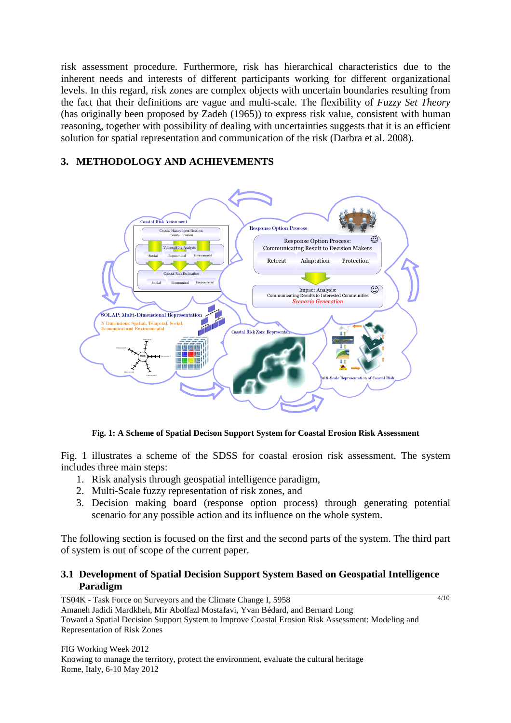risk assessment procedure. Furthermore, risk has hierarchical characteristics due to the inherent needs and interests of different participants working for different organizational levels. In this regard, risk zones are complex objects with uncertain boundaries resulting from the fact that their definitions are vague and multi-scale. The flexibility of *Fuzzy Set Theory* (has originally been proposed by Zadeh (1965)) to express risk value, consistent with human reasoning, together with possibility of dealing with uncertainties suggests that it is an efficient solution for spatial representation and communication of the risk (Darbra et al. 2008).

# **3. METHODOLOGY AND ACHIEVEMENTS**



**Fig. 1: A Scheme of Spatial Decison Support System for Coastal Erosion Risk Assessment** 

Fig. 1 illustrates a scheme of the SDSS for coastal erosion risk assessment. The system includes three main steps:

- 1. Risk analysis through geospatial intelligence paradigm,
- 2. Multi-Scale fuzzy representation of risk zones, and
- 3. Decision making board (response option process) through generating potential scenario for any possible action and its influence on the whole system.

The following section is focused on the first and the second parts of the system. The third part of system is out of scope of the current paper.

## **3.1 Development of Spatial Decision Support System Based on Geospatial Intelligence Paradigm**

TS04K - Task Force on Surveyors and the Climate Change I, 5958 Amaneh Jadidi Mardkheh, Mir Abolfazl Mostafavi, Yvan Bédard, and Bernard Long Toward a Spatial Decision Support System to Improve Coastal Erosion Risk Assessment: Modeling and Representation of Risk Zones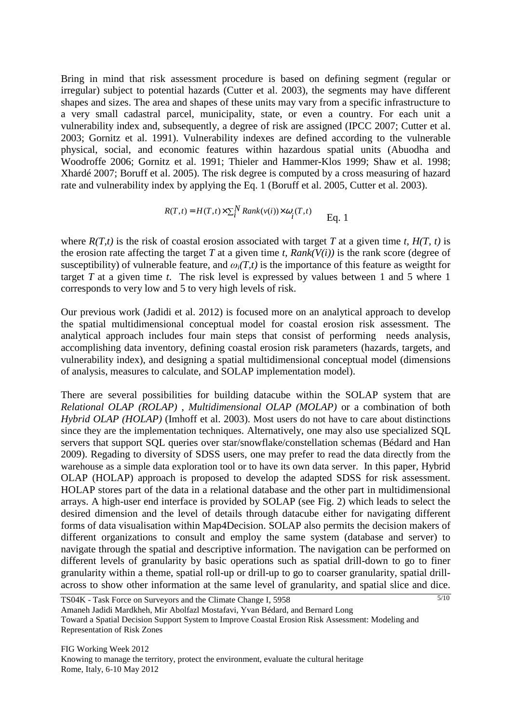Bring in mind that risk assessment procedure is based on defining segment (regular or irregular) subject to potential hazards (Cutter et al. 2003), the segments may have different shapes and sizes. The area and shapes of these units may vary from a specific infrastructure to a very small cadastral parcel, municipality, state, or even a country. For each unit a vulnerability index and, subsequently, a degree of risk are assigned (IPCC 2007; Cutter et al. 2003; Gornitz et al. 1991). Vulnerability indexes are defined according to the vulnerable physical, social, and economic features within hazardous spatial units (Abuodha and Woodroffe 2006; Gornitz et al. 1991; Thieler and Hammer-Klos 1999; Shaw et al. 1998; Xhardé 2007; Boruff et al. 2005). The risk degree is computed by a cross measuring of hazard rate and vulnerability index by applying the Eq. 1 (Boruff et al. 2005, Cutter et al. 2003).

$$
R(T,t) = H(T,t) \times \sum_{i}^{N} Rank(v(i)) \times \omega_i(T,t)
$$
 Eq. 1

where  $R(T,t)$  is the risk of coastal erosion associated with target T at a given time *t*,  $H(T, t)$  is the erosion rate affecting the target *T* at a given time *t*,  $Rank(V(i))$  is the rank score (degree of susceptibility) of vulnerable feature, and  $\omega_i(T,t)$  is the importance of this feature as weigtht for target *T* at a given time *t*. The risk level is expressed by values between 1 and 5 where 1 corresponds to very low and 5 to very high levels of risk.

Our previous work (Jadidi et al. 2012) is focused more on an analytical approach to develop the spatial multidimensional conceptual model for coastal erosion risk assessment. The analytical approach includes four main steps that consist of performing needs analysis, accomplishing data inventory, defining coastal erosion risk parameters (hazards, targets, and vulnerability index), and designing a spatial multidimensional conceptual model (dimensions of analysis, measures to calculate, and SOLAP implementation model).

There are several possibilities for building datacube within the SOLAP system that are *Relational OLAP (ROLAP)* , *Multidimensional OLAP (MOLAP)* or a combination of both *Hybrid OLAP (HOLAP)* (Imhoff et al. 2003). Most users do not have to care about distinctions since they are the implementation techniques. Alternatively, one may also use specialized SOL servers that support SQL queries over star/snowflake/constellation schemas (Bédard and Han 2009). Regading to diversity of SDSS users, one may prefer to read the data directly from the warehouse as a simple data exploration tool or to have its own data server. In this paper, Hybrid OLAP (HOLAP) approach is proposed to develop the adapted SDSS for risk assessment. HOLAP stores part of the data in a relational database and the other part in multidimensional arrays. A high-user end interface is provided by SOLAP (see Fig. 2) which leads to select the desired dimension and the level of details through datacube either for navigating different forms of data visualisation within Map4Decision. SOLAP also permits the decision makers of different organizations to consult and employ the same system (database and server) to navigate through the spatial and descriptive information. The navigation can be performed on different levels of granularity by basic operations such as spatial drill-down to go to finer granularity within a theme, spatial roll-up or drill-up to go to coarser granularity, spatial drillacross to show other information at the same level of granularity, and spatial slice and dice.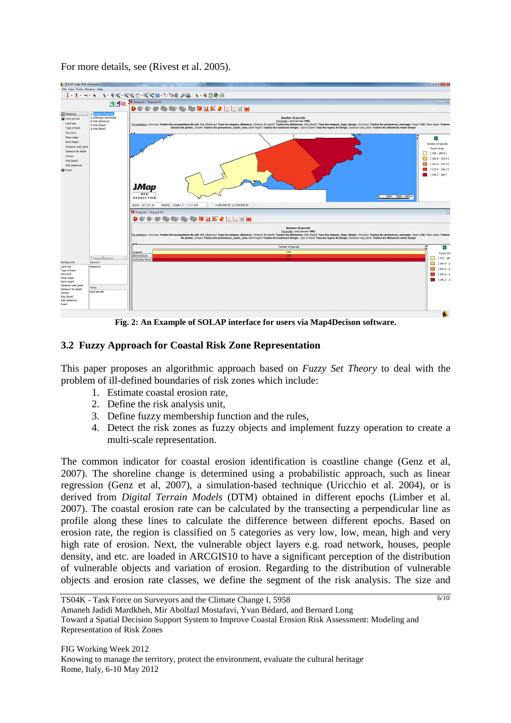For more details, see (Rivest et al. 2005).



**Fig. 2: An Example of SOLAP interface for users via Map4Decison software.** 

## **3.2 Fuzzy Approach for Coastal Risk Zone Representation**

This paper proposes an algorithmic approach based on *Fuzzy Set Theory* to deal with the problem of ill-defined boundaries of risk zones which include:

- 1. Estimate coastal erosion rate,
- 2. Define the risk analysis unit,
- 3. Define fuzzy membership function and the rules,
- 4. Detect the risk zones as fuzzy objects and implement fuzzy operation to create a multi-scale representation.

The common indicator for coastal erosion identification is coastline change (Genz et al, 2007). The shoreline change is determined using a probabilistic approach, such as linear regression (Genz et al, 2007), a simulation-based technique (Uricchio et al. 2004), or is derived from *Digital Terrain Models* (DTM) obtained in different epochs (Limber et al. 2007). The coastal erosion rate can be calculated by the transecting a perpendicular line as profile along these lines to calculate the difference between different epochs. Based on erosion rate, the region is classified on 5 categories as very low, low, mean, high and very high rate of erosion. Next, the vulnerable object layers e.g. road network, houses, people density, and etc. are loaded in ARCGIS10 to have a significant perception of the distribution of vulnerable objects and variation of erosion. Regarding to the distribution of vulnerable objects and erosion rate classes, we define the segment of the risk analysis. The size and

6/10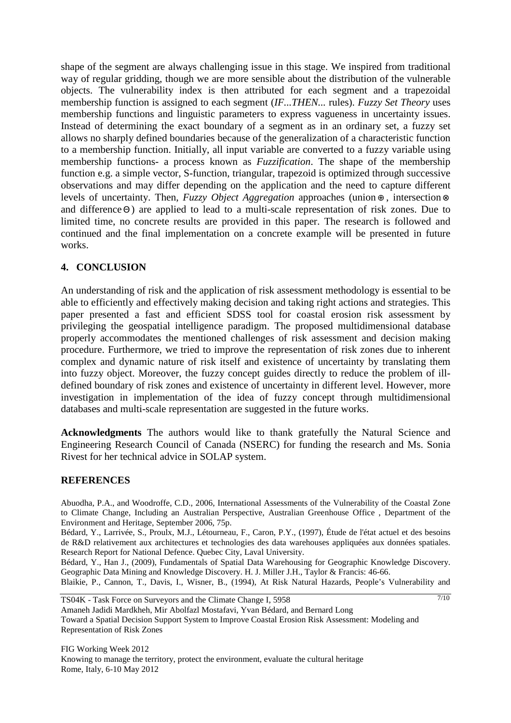shape of the segment are always challenging issue in this stage. We inspired from traditional way of regular gridding, though we are more sensible about the distribution of the vulnerable objects. The vulnerability index is then attributed for each segment and a trapezoidal membership function is assigned to each segment (*IF...THEN...* rules). *Fuzzy Set Theory* uses membership functions and linguistic parameters to express vagueness in uncertainty issues. Instead of determining the exact boundary of a segment as in an ordinary set, a fuzzy set allows no sharply defined boundaries because of the generalization of a characteristic function to a membership function. Initially, all input variable are converted to a fuzzy variable using membership functions- a process known as *Fuzzification*. The shape of the membership function e.g. a simple vector, S-function, triangular, trapezoid is optimized through successive observations and may differ depending on the application and the need to capture different levels of uncertainty. Then, *Fuzzy Object Aggregation* approaches (union ⊕ , intersection ⊗ and difference Θ ) are applied to lead to a multi-scale representation of risk zones. Due to limited time, no concrete results are provided in this paper. The research is followed and continued and the final implementation on a concrete example will be presented in future works.

### **4. CONCLUSION**

An understanding of risk and the application of risk assessment methodology is essential to be able to efficiently and effectively making decision and taking right actions and strategies. This paper presented a fast and efficient SDSS tool for coastal erosion risk assessment by privileging the geospatial intelligence paradigm. The proposed multidimensional database properly accommodates the mentioned challenges of risk assessment and decision making procedure. Furthermore, we tried to improve the representation of risk zones due to inherent complex and dynamic nature of risk itself and existence of uncertainty by translating them into fuzzy object. Moreover, the fuzzy concept guides directly to reduce the problem of illdefined boundary of risk zones and existence of uncertainty in different level. However, more investigation in implementation of the idea of fuzzy concept through multidimensional databases and multi-scale representation are suggested in the future works.

**Acknowledgments** The authors would like to thank gratefully the Natural Science and Engineering Research Council of Canada (NSERC) for funding the research and Ms. Sonia Rivest for her technical advice in SOLAP system.

#### **REFERENCES**

Abuodha, P.A., and Woodroffe, C.D., 2006, International Assessments of the Vulnerability of the Coastal Zone to Climate Change, Including an Australian Perspective, Australian Greenhouse Office , Department of the Environment and Heritage, September 2006, 75p.

Bédard, Y., Larrivée, S., Proulx, M.J., Létourneau, F., Caron, P.Y., (1997), Étude de l'état actuel et des besoins de R&D relativement aux architectures et technologies des data warehouses appliquées aux données spatiales. Research Report for National Defence. Quebec City, Laval University.

Bédard, Y., Han J., (2009), Fundamentals of Spatial Data Warehousing for Geographic Knowledge Discovery. Geographic Data Mining and Knowledge Discovery. H. J. Miller J.H., Taylor & Francis: 46-66.

Blaikie, P., Cannon, T., Davis, I., Wisner, B., (1994), At Risk Natural Hazards, People's Vulnerability and

7/10

TS04K - Task Force on Surveyors and the Climate Change I, 5958

Amaneh Jadidi Mardkheh, Mir Abolfazl Mostafavi, Yvan Bédard, and Bernard Long

Toward a Spatial Decision Support System to Improve Coastal Erosion Risk Assessment: Modeling and Representation of Risk Zones

FIG Working Week 2012 Knowing to manage the territory, protect the environment, evaluate the cultural heritage Rome, Italy, 6-10 May 2012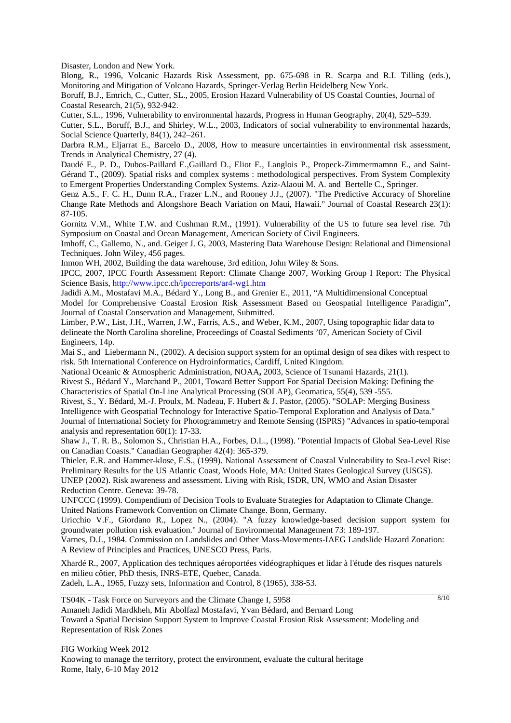Disaster, London and New York.

Blong, R., 1996, Volcanic Hazards Risk Assessment, pp. 675-698 in R. Scarpa and R.I. Tilling (eds.), Monitoring and Mitigation of Volcano Hazards, Springer-Verlag Berlin Heidelberg New York.

Boruff, B.J., Emrich, C., Cutter, SL., 2005, Erosion Hazard Vulnerability of US Coastal Counties, Journal of Coastal Research, 21(5), 932-942.

Cutter, S.L., 1996, Vulnerability to environmental hazards, Progress in Human Geography, 20(4), 529–539.

Cutter, S.L., Boruff, B.J., and Shirley, W.L., 2003, Indicators of social vulnerability to environmental hazards, Social Science Quarterly, 84(1), 242–261.

Darbra R.M., Eljarrat E., Barcelo D., 2008, How to measure uncertainties in environmental risk assessment, Trends in Analytical Chemistry, 27 (4).

Daudé E., P. D., Dubos-Paillard E.,Gaillard D., Eliot E., Langlois P., Propeck-Zimmermamnn E., and Saint-Gérand T., (2009). Spatial risks and complex systems : methodological perspectives. From System Complexity to Emergent Properties Understanding Complex Systems. Aziz-Alaoui M. A. and Bertelle C., Springer.

Genz A.S., F. C. H., Dunn R.A., Frazer L.N., and Rooney J.J., (2007). "The Predictive Accuracy of Shoreline Change Rate Methods and Alongshore Beach Variation on Maui, Hawaii." Journal of Coastal Research 23(1): 87-105.

Gornitz V.M., White T.W. and Cushman R.M., (1991). Vulnerability of the US to future sea level rise. 7th Symposium on Coastal and Ocean Management, American Society of Civil Engineers.

Imhoff, C., Gallemo, N., and. Geiger J. G, 2003, Mastering Data Warehouse Design: Relational and Dimensional Techniques. John Wiley, 456 pages.

Inmon WH, 2002, Building the data warehouse, 3rd edition, John Wiley & Sons.

IPCC, 2007, IPCC Fourth Assessment Report: Climate Change 2007, Working Group I Report: The Physical Science Basis, http://www.ipcc.ch/ipccreports/ar4-wg1.htm

Jadidi A.M., Mostafavi M.A., Bédard Y., Long B., and Grenier E., 2011, "A Multidimensional Conceptual Model for Comprehensive Coastal Erosion Risk Assessment Based on Geospatial Intelligence Paradigm", Journal of Coastal Conservation and Management, Submitted.

Limber, P.W., List, J.H., Warren, J.W., Farris, A.S., and Weber, K.M., 2007, Using topographic lidar data to delineate the North Carolina shoreline, Proceedings of Coastal Sediments '07, American Society of Civil Engineers, 14p.

Mai S., and Liebermann N., (2002). A decision support system for an optimal design of sea dikes with respect to risk. 5th International Conference on Hydroinformatics, Cardiff, United Kingdom.

National Oceanic & Atmospheric Administration, NOAA**,** 2003, Science of Tsunami Hazards, 21(1).

Rivest S., Bédard Y., Marchand P., 2001, Toward Better Support For Spatial Decision Making: Defining the Characteristics of Spatial On-Line Analytical Processing (SOLAP), Geomatica, 55(4), 539 -555.

Rivest, S., Y. Bédard, M.-J. Proulx, M. Nadeau, F. Hubert & J. Pastor, (2005). "SOLAP: Merging Business Intelligence with Geospatial Technology for Interactive Spatio-Temporal Exploration and Analysis of Data." Journal of International Society for Photogrammetry and Remote Sensing (ISPRS) "Advances in spatio-temporal analysis and representation 60(1): 17-33.

Shaw J., T. R. B., Solomon S., Christian H.A., Forbes, D.L., (1998). "Potential Impacts of Global Sea-Level Rise on Canadian Coasts." Canadian Geographer 42(4): 365-379.

Thieler, E.R. and Hammer-klose, E.S., (1999). National Assessment of Coastal Vulnerability to Sea-Level Rise: Preliminary Results for the US Atlantic Coast, Woods Hole, MA: United States Geological Survey (USGS). UNEP (2002). Risk awareness and assessment. Living with Risk, ISDR, UN, WMO and Asian Disaster

Reduction Centre. Geneva: 39-78.

UNFCCC (1999). Compendium of Decision Tools to Evaluate Strategies for Adaptation to Climate Change. United Nations Framework Convention on Climate Change. Bonn, Germany.

Uricchio V.F., Giordano R., Lopez N., (2004). "A fuzzy knowledge-based decision support system for groundwater pollution risk evaluation." Journal of Environmental Management 73: 189-197.

Varnes, D.J., 1984. Commission on Landslides and Other Mass-Movements-IAEG Landslide Hazard Zonation: A Review of Principles and Practices, UNESCO Press, Paris.

Xhardé R., 2007, Application des techniques aéroportées vidéographiques et lidar à l'étude des risques naturels en milieu côtier, PhD thesis, INRS-ETE, Quebec, Canada. Zadeh, L.A., 1965, Fuzzy sets, Information and Control, 8 (1965), 338-53.

TS04K - Task Force on Surveyors and the Climate Change I, 5958

8/10

Amaneh Jadidi Mardkheh, Mir Abolfazl Mostafavi, Yvan Bédard, and Bernard Long

Toward a Spatial Decision Support System to Improve Coastal Erosion Risk Assessment: Modeling and Representation of Risk Zones

FIG Working Week 2012 Knowing to manage the territory, protect the environment, evaluate the cultural heritage Rome, Italy, 6-10 May 2012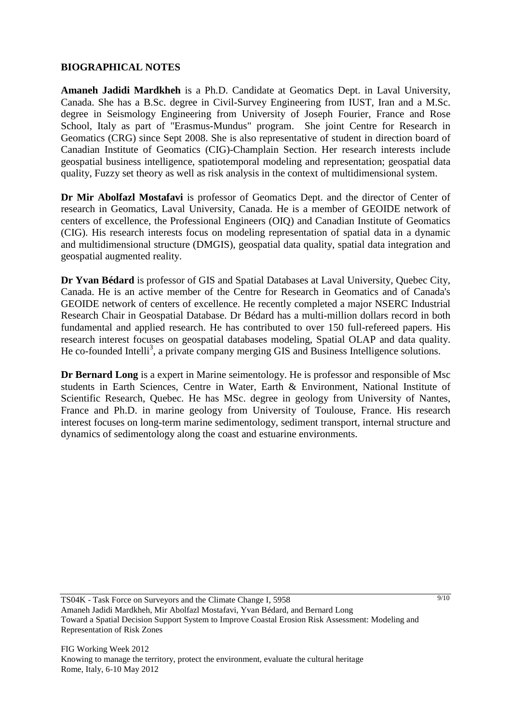### **BIOGRAPHICAL NOTES**

**Amaneh Jadidi Mardkheh** is a Ph.D. Candidate at Geomatics Dept. in Laval University, Canada. She has a B.Sc. degree in Civil-Survey Engineering from IUST, Iran and a M.Sc. degree in Seismology Engineering from University of Joseph Fourier, France and Rose School, Italy as part of "Erasmus-Mundus" program. She joint Centre for Research in Geomatics (CRG) since Sept 2008. She is also representative of student in direction board of Canadian Institute of Geomatics (CIG)-Champlain Section. Her research interests include geospatial business intelligence, spatiotemporal modeling and representation; geospatial data quality, Fuzzy set theory as well as risk analysis in the context of multidimensional system.

**Dr Mir Abolfazl Mostafavi** is professor of Geomatics Dept. and the director of Center of research in Geomatics, Laval University, Canada. He is a member of GEOIDE network of centers of excellence, the Professional Engineers (OIQ) and Canadian Institute of Geomatics (CIG). His research interests focus on modeling representation of spatial data in a dynamic and multidimensional structure (DMGIS), geospatial data quality, spatial data integration and geospatial augmented reality.

**Dr Yvan Bédard** is professor of GIS and Spatial Databases at Laval University, Quebec City, Canada. He is an active member of the Centre for Research in Geomatics and of Canada's GEOIDE network of centers of excellence. He recently completed a major NSERC Industrial Research Chair in Geospatial Database. Dr Bédard has a multi-million dollars record in both fundamental and applied research. He has contributed to over 150 full-refereed papers. His research interest focuses on geospatial databases modeling, Spatial OLAP and data quality. He co-founded Intelli<sup>3</sup>, a private company merging GIS and Business Intelligence solutions.

**Dr Bernard Long** is a expert in Marine seimentology. He is professor and responsible of Msc students in Earth Sciences, Centre in Water, Earth & Environment, National Institute of Scientific Research, Quebec. He has MSc. degree in geology from University of Nantes, France and Ph.D. in marine geology from University of Toulouse, France. His research interest focuses on long-term marine sedimentology, sediment transport, internal structure and dynamics of sedimentology along the coast and estuarine environments.